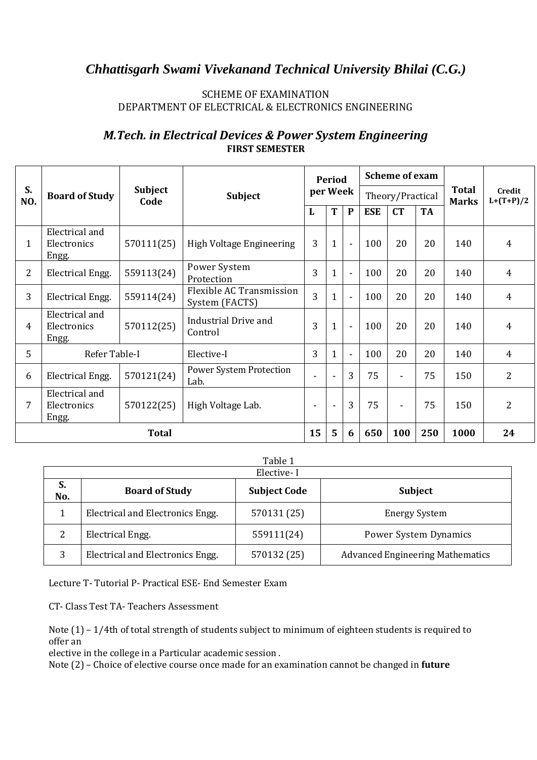### SCHEME OF EXAMINATION DEPARTMENT OF ELECTRICAL & ELECTRONICS ENGINEERING

|     |                                        |                        |                                            |          |              |                |            | <b>Scheme of exam</b> |           |                              | Credit<br>$L+(T+P)/2$<br>$\overline{4}$<br>$\overline{4}$<br>$\overline{4}$ |
|-----|----------------------------------------|------------------------|--------------------------------------------|----------|--------------|----------------|------------|-----------------------|-----------|------------------------------|-----------------------------------------------------------------------------|
| S.  |                                        |                        |                                            |          | Period       |                |            |                       |           |                              | $\overline{4}$<br>$\overline{4}$<br>$\overline{2}$<br>$\overline{2}$        |
| NO. | <b>Board of Study</b>                  | <b>Subject</b><br>Code | Subject                                    | per Week |              |                |            | Theory/Practical      |           | <b>Total</b><br><b>Marks</b> |                                                                             |
|     |                                        |                        |                                            | L        | T            | $\mathbf{P}$   | <b>ESE</b> | CT                    | <b>TA</b> |                              |                                                                             |
| 1   | Electrical and<br>Electronics<br>Engg. | 570111(25)             | High Voltage Engineering                   | 3        | $\mathbf{1}$ | $\blacksquare$ | 100        | 20                    | 20        | 140                          |                                                                             |
| 2   | Electrical Engg.                       | 559113(24)             | Power System<br>Protection                 | 3        | 1            | $\blacksquare$ | 100        | 20                    | 20        | 140                          |                                                                             |
| 3   | Electrical Engg.                       | 559114(24)             | Flexible AC Transmission<br>System (FACTS) | 3        | $\mathbf{1}$ | $\blacksquare$ | 100        | 20                    | 20        | 140                          |                                                                             |
| 4   | Electrical and<br>Electronics<br>Engg. | 570112(25)             | <b>Industrial Drive and</b><br>Control     | 3        | $\mathbf{1}$ | $\blacksquare$ | 100        | 20                    | 20        | 140                          |                                                                             |
| 5   | Refer Table-I                          |                        | Elective-I                                 | 3        | 1            | $\blacksquare$ | 100        | 20                    | 20        | 140                          |                                                                             |
| 6   | Electrical Engg.                       | 570121(24)             | Power System Protection<br>Lab.            | L,       |              | 3              | 75         | ٠                     | 75        | 150                          |                                                                             |
| 7   | Electrical and<br>Electronics<br>Engg. | 570122(25)             | High Voltage Lab.                          | $\sim$   | $\sim$       | 3              | 75         | Ξ.                    | 75        | 150                          |                                                                             |
|     | <b>Total</b>                           |                        |                                            | 15       | 5            | 6              | 650        | 100                   | 250       | 1000                         | 24                                                                          |

## *M.Tech. in Electrical Devices & Power System Engineering* **FIRST SEMESTER**

Table 1

|           | Elective-I                       |                     |                                         |  |  |  |  |  |  |  |  |
|-----------|----------------------------------|---------------------|-----------------------------------------|--|--|--|--|--|--|--|--|
| S.<br>No. | <b>Board of Study</b>            | <b>Subject Code</b> | <b>Subject</b>                          |  |  |  |  |  |  |  |  |
|           | Electrical and Electronics Engg. | 570131 (25)         | <b>Energy System</b>                    |  |  |  |  |  |  |  |  |
| 2         | Electrical Engg.                 | 559111(24)          | Power System Dynamics                   |  |  |  |  |  |  |  |  |
| 3         | Electrical and Electronics Engg. | 570132 (25)         | <b>Advanced Engineering Mathematics</b> |  |  |  |  |  |  |  |  |

Lecture T- Tutorial P- Practical ESE- End Semester Exam

CT- Class Test TA- Teachers Assessment

Note (1) – 1/4th of total strength of students subject to minimum of eighteen students is required to offer an

elective in the college in a Particular academic session .

Note (2) – Choice of elective course once made for an examination cannot be changed in **future**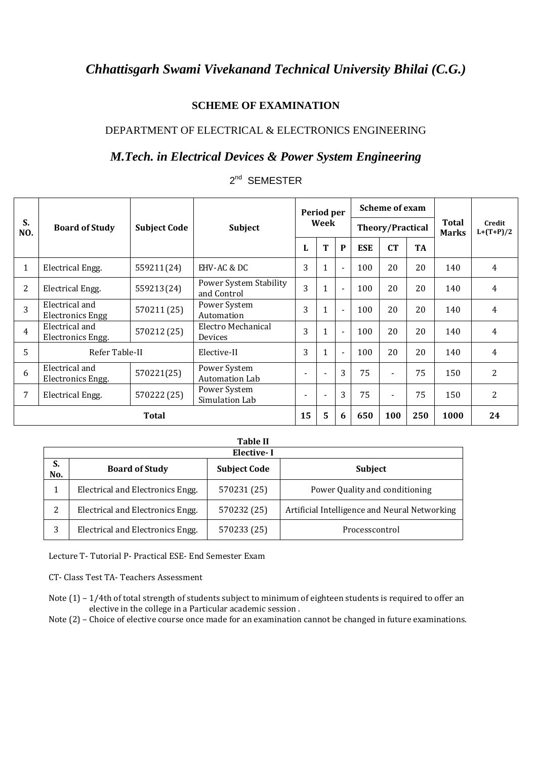## **SCHEME OF EXAMINATION**

### DEPARTMENT OF ELECTRICAL & ELECTRONICS ENGINEERING

## *M.Tech. in Electrical Devices & Power System Engineering*

# 2<sup>nd</sup> SEMESTER

|                |                                           |                     |                                       |    | Period per               |                          |                         | Scheme of exam |           |                              | Credit<br>$L+(T+P)/2$<br>$\overline{4}$<br>$\overline{4}$<br>$\overline{4}$<br>$\overline{4}$<br>4<br>2<br>2 |
|----------------|-------------------------------------------|---------------------|---------------------------------------|----|--------------------------|--------------------------|-------------------------|----------------|-----------|------------------------------|--------------------------------------------------------------------------------------------------------------|
| S.<br>NO.      | <b>Board of Study</b>                     | <b>Subject Code</b> | <b>Subject</b>                        |    | Week                     |                          | <b>Theory/Practical</b> |                |           | <b>Total</b><br><b>Marks</b> |                                                                                                              |
|                |                                           |                     |                                       | ь  | T                        | $\mathbf{P}$             | <b>ESE</b>              | <b>CT</b>      | <b>TA</b> |                              |                                                                                                              |
| $\mathbf{1}$   | Electrical Engg.                          | 559211(24)          | EHV-AC & DC                           | 3  | $\mathbf{1}$             | $\blacksquare$           | 100                     | 20             | 20        | 140                          |                                                                                                              |
| 2              | Electrical Engg.                          | 559213(24)          | Power System Stability<br>and Control | 3  | $\mathbf{1}$             | $\overline{\phantom{a}}$ | 100                     | 20             | 20        | 140                          |                                                                                                              |
| $\overline{3}$ | Electrical and<br><b>Electronics Engg</b> | 570211 (25)         | Power System<br>Automation            | 3  | $\mathbf{1}$             | $\blacksquare$           | 100                     | 20             | 20        | 140                          |                                                                                                              |
| $\overline{4}$ | Electrical and<br>Electronics Engg.       | 570212 (25)         | Electro Mechanical<br>Devices         | 3  | $\mathbf{1}$             | $\blacksquare$           | 100                     | 20             | 20        | 140                          |                                                                                                              |
| 5              | Refer Table-II                            |                     | Elective-II                           | 3  | $\mathbf{1}$             | $\blacksquare$           | 100                     | 20             | 20        | 140                          |                                                                                                              |
| 6              | Electrical and<br>Electronics Engg.       | 570221(25)          | Power System<br>Automation Lab        |    |                          | 3                        | 75                      | $\blacksquare$ | 75        | 150                          |                                                                                                              |
| 7              | Electrical Engg.                          | 570222 (25)         | Power System<br>Simulation Lab        |    | $\overline{\phantom{a}}$ | 3                        | 75                      | $\blacksquare$ | 75        | 150                          |                                                                                                              |
|                |                                           | <b>Total</b>        |                                       | 15 | 5                        | 6                        | 650                     | 100            | 250       | 1000                         | 24                                                                                                           |

|           | <b>Table II</b>                  |                     |                                               |  |  |  |  |  |  |  |  |  |
|-----------|----------------------------------|---------------------|-----------------------------------------------|--|--|--|--|--|--|--|--|--|
|           | Elective-I                       |                     |                                               |  |  |  |  |  |  |  |  |  |
| S.<br>No. | <b>Board of Study</b>            | <b>Subject Code</b> | <b>Subject</b>                                |  |  |  |  |  |  |  |  |  |
| 1         | Electrical and Electronics Engg. | 570231 (25)         | Power Quality and conditioning                |  |  |  |  |  |  |  |  |  |
| 2         | Electrical and Electronics Engg. | 570232 (25)         | Artificial Intelligence and Neural Networking |  |  |  |  |  |  |  |  |  |
| 3         | Electrical and Electronics Engg. | 570233 (25)         | Processcontrol                                |  |  |  |  |  |  |  |  |  |

Lecture T- Tutorial P- Practical ESE- End Semester Exam

CT- Class Test TA- Teachers Assessment

Note (1) – 1/4th of total strength of students subject to minimum of eighteen students is required to offer an elective in the college in a Particular academic session .

Note (2) – Choice of elective course once made for an examination cannot be changed in future examinations.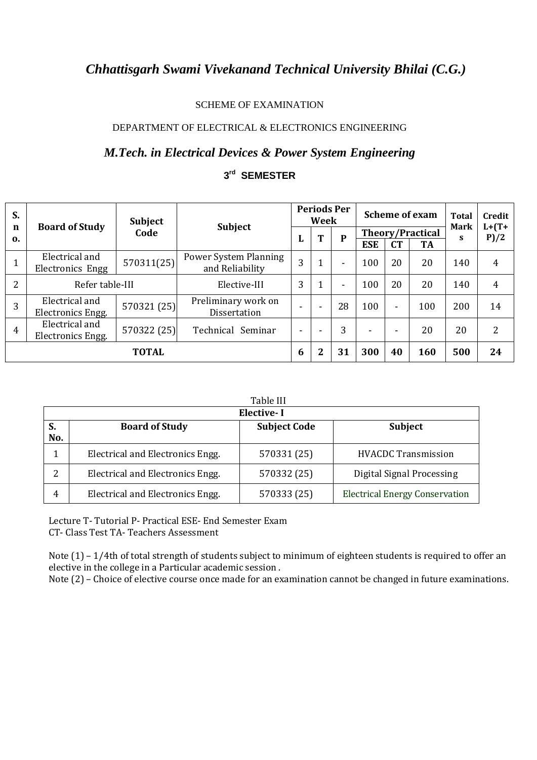#### SCHEME OF EXAMINATION

### DEPARTMENT OF ELECTRICAL & ELECTRONICS ENGINEERING

## *M.Tech. in Electrical Devices & Power System Engineering*

### **3 rd SEMESTER**

| S.                            |                                     | <b>Subject</b> |                                          |                          | <b>Periods Per</b><br>Week |                          |                         | <b>Scheme of exam</b>    | <b>Total</b><br>Mark<br>S | Credit<br>$L+ (T+$<br>P)/2 |    |
|-------------------------------|-------------------------------------|----------------|------------------------------------------|--------------------------|----------------------------|--------------------------|-------------------------|--------------------------|---------------------------|----------------------------|----|
| $\mathbf n$<br>$\mathbf{0}$ . | <b>Board of Study</b>               | Code           | <b>Subject</b>                           | L                        | T                          | P                        | <b>Theory/Practical</b> |                          |                           |                            |    |
| 1                             | Electrical and<br>Electronics Engg  | 570311(25)     | Power System Planning<br>and Reliability | 3                        | 1                          | $\overline{\phantom{0}}$ | <b>ESE</b><br>100       | <b>CT</b><br>20          | <b>TA</b><br>20           | 140                        |    |
| $\overline{2}$                | Refer table-III                     |                | Elective-III                             | 3                        | $\mathbf 1$                | ۰                        | 100                     | 20                       | 20                        | 140                        |    |
| 3                             | Electrical and<br>Electronics Engg. | 570321 (25)    | Preliminary work on<br>Dissertation      |                          | $\overline{\phantom{0}}$   | 28                       | 100                     | ٠                        | 100                       | 200                        | 14 |
| $\overline{4}$                | Electrical and<br>Electronics Engg. | 570322 (25)    | Technical Seminar                        | $\overline{\phantom{0}}$ | $\overline{\phantom{0}}$   | 3                        | ۰                       | $\overline{\phantom{0}}$ | 20                        | 20                         |    |
|                               |                                     | <b>TOTAL</b>   |                                          | 6                        | $\overline{2}$             | 31                       | 300                     | 40                       | 160                       | 500                        | 24 |

|           | Table III                        |                     |                                       |  |  |  |  |  |  |  |  |
|-----------|----------------------------------|---------------------|---------------------------------------|--|--|--|--|--|--|--|--|
|           | <b>Elective-I</b>                |                     |                                       |  |  |  |  |  |  |  |  |
| S.<br>No. | <b>Board of Study</b>            | <b>Subject Code</b> | <b>Subject</b>                        |  |  |  |  |  |  |  |  |
|           | Electrical and Electronics Engg. | 570331 (25)         | <b>HVACDC Transmission</b>            |  |  |  |  |  |  |  |  |
| 2         | Electrical and Electronics Engg. | 570332 (25)         | Digital Signal Processing             |  |  |  |  |  |  |  |  |
| 4         | Electrical and Electronics Engg. | 570333 (25)         | <b>Electrical Energy Conservation</b> |  |  |  |  |  |  |  |  |

Lecture T- Tutorial P- Practical ESE- End Semester Exam CT- Class Test TA- Teachers Assessment

Note (1) – 1/4th of total strength of students subject to minimum of eighteen students is required to offer an elective in the college in a Particular academic session .

Note (2) – Choice of elective course once made for an examination cannot be changed in future examinations.